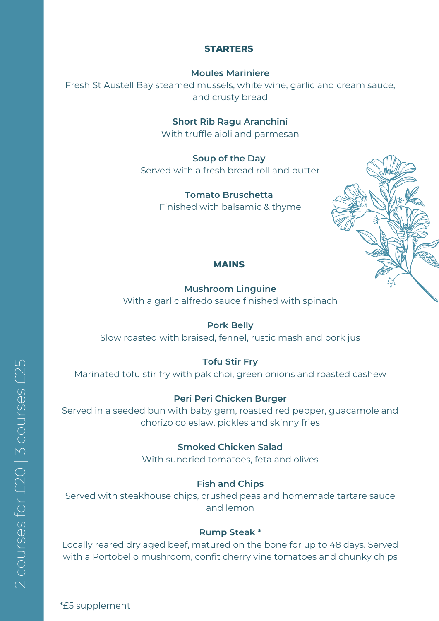#### **STARTERS**

#### **Moules Mariniere**

Fresh St Austell Bay steamed mussels, white wine, garlic and cream sauce, and crusty bread

**Short Rib Ragu Aranchini**

With truffle aioli and parmesan

**Soup of the Day** Served with a fresh bread roll and butter

> **Tomato Bruschetta** Finished with balsamic & thyme



#### **MAINS**

**Mushroom Linguine** With a garlic alfredo sauce finished with spinach

**Pork Belly** Slow roasted with braised, fennel, rustic mash and pork jus

**Tofu Stir Fry**

Marinated tofu stir fry with pak choi, green onions and roasted cashew

## **Peri Peri Chicken Burger**

Served in a seeded bun with baby gem, roasted red pepper, guacamole and chorizo coleslaw, pickles and skinny fries

> **Smoked Chicken Salad** With sundried tomatoes, feta and olives

## **Fish and Chips**

Served with steakhouse chips, crushed peas and homemade tartare sauce and lemon

## **Rump Steak \***

Locally reared dry aged beef, matured on the bone for up to 48 days. Served with a Portobello mushroom, confit cherry vine tomatoes and chunky chips

 $\bigcap$  $\bigcirc$ o $\Box$ <u>س</u>  $\mathbb O$ U) for $\overline{\phantom{0}}$  $\bigcirc$ 0 | 3  $\bigcirc$ o $\Box$  $\overline{\mathcal{C}}$  $\mathbb O$ U)  $\downarrow$  $\bigcirc$  $\mathsf{L}\mathsf{\Omega}$ 

\*£5 supplement